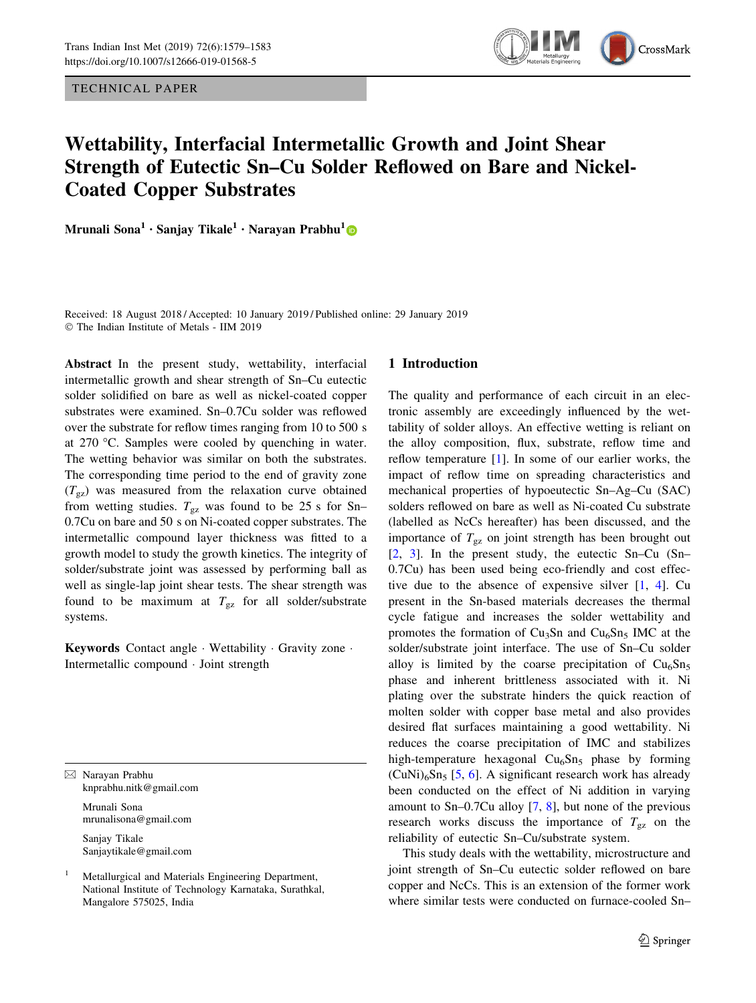TECHNICAL PAPER



# Wettability, Interfacial Intermetallic Growth and Joint Shear Strength of Eutectic Sn–Cu Solder Reflowed on Bare and Nickel-Coated Copper Substrates

Mrunali Sona<sup>1</sup> • Sanjay Tikale<sup>1</sup> • Narayan Prabhu<sup>1</sup>

Received: 18 August 2018 / Accepted: 10 January 2019 / Published online: 29 January 2019 © The Indian Institute of Metals - IIM 2019

Abstract In the present study, wettability, interfacial intermetallic growth and shear strength of Sn–Cu eutectic solder solidified on bare as well as nickel-coated copper substrates were examined. Sn–0.7Cu solder was reflowed over the substrate for reflow times ranging from 10 to 500 s at  $270$  °C. Samples were cooled by quenching in water. The wetting behavior was similar on both the substrates. The corresponding time period to the end of gravity zone  $(T_{\rm gz})$  was measured from the relaxation curve obtained from wetting studies.  $T_{gz}$  was found to be 25 s for Sn– 0.7Cu on bare and 50 s on Ni-coated copper substrates. The intermetallic compound layer thickness was fitted to a growth model to study the growth kinetics. The integrity of solder/substrate joint was assessed by performing ball as well as single-lap joint shear tests. The shear strength was found to be maximum at  $T_{gz}$  for all solder/substrate systems.

Keywords Contact angle · Wettability · Gravity zone · Intermetallic compound - Joint strength

& Narayan Prabhu knprabhu.nitk@gmail.com Mrunali Sona

> mrunalisona@gmail.com Sanjay Tikale

Sanjaytikale@gmail.com

<sup>1</sup> Metallurgical and Materials Engineering Department, National Institute of Technology Karnataka, Surathkal, Mangalore 575025, India

# 1 Introduction

The quality and performance of each circuit in an electronic assembly are exceedingly influenced by the wettability of solder alloys. An effective wetting is reliant on the alloy composition, flux, substrate, reflow time and reflow temperature [[1\]](#page-4-0). In some of our earlier works, the impact of reflow time on spreading characteristics and mechanical properties of hypoeutectic Sn–Ag–Cu (SAC) solders reflowed on bare as well as Ni-coated Cu substrate (labelled as NcCs hereafter) has been discussed, and the importance of  $T_{\text{gz}}$  on joint strength has been brought out [\[2](#page-4-0), [3\]](#page-4-0). In the present study, the eutectic Sn–Cu (Sn– 0.7Cu) has been used being eco-friendly and cost effective due to the absence of expensive silver [[1,](#page-4-0) [4\]](#page-4-0). Cu present in the Sn-based materials decreases the thermal cycle fatigue and increases the solder wettability and promotes the formation of  $Cu<sub>3</sub>Sn$  and  $Cu<sub>6</sub>Sn<sub>5</sub>$  IMC at the solder/substrate joint interface. The use of Sn–Cu solder alloy is limited by the coarse precipitation of  $Cu<sub>6</sub>Sn<sub>5</sub>$ phase and inherent brittleness associated with it. Ni plating over the substrate hinders the quick reaction of molten solder with copper base metal and also provides desired flat surfaces maintaining a good wettability. Ni reduces the coarse precipitation of IMC and stabilizes high-temperature hexagonal  $Cu<sub>6</sub>Sn<sub>5</sub>$  phase by forming  $(CuNi)_{6}Sn_{5}$  $(CuNi)_{6}Sn_{5}$  $(CuNi)_{6}Sn_{5}$  [[5,](#page-4-0) 6]. A significant research work has already been conducted on the effect of Ni addition in varying amount to Sn–0.7Cu alloy [[7,](#page-4-0) [8](#page-4-0)], but none of the previous research works discuss the importance of  $T_{\rm gz}$  on the reliability of eutectic Sn–Cu/substrate system.

This study deals with the wettability, microstructure and joint strength of Sn–Cu eutectic solder reflowed on bare copper and NcCs. This is an extension of the former work where similar tests were conducted on furnace-cooled Sn–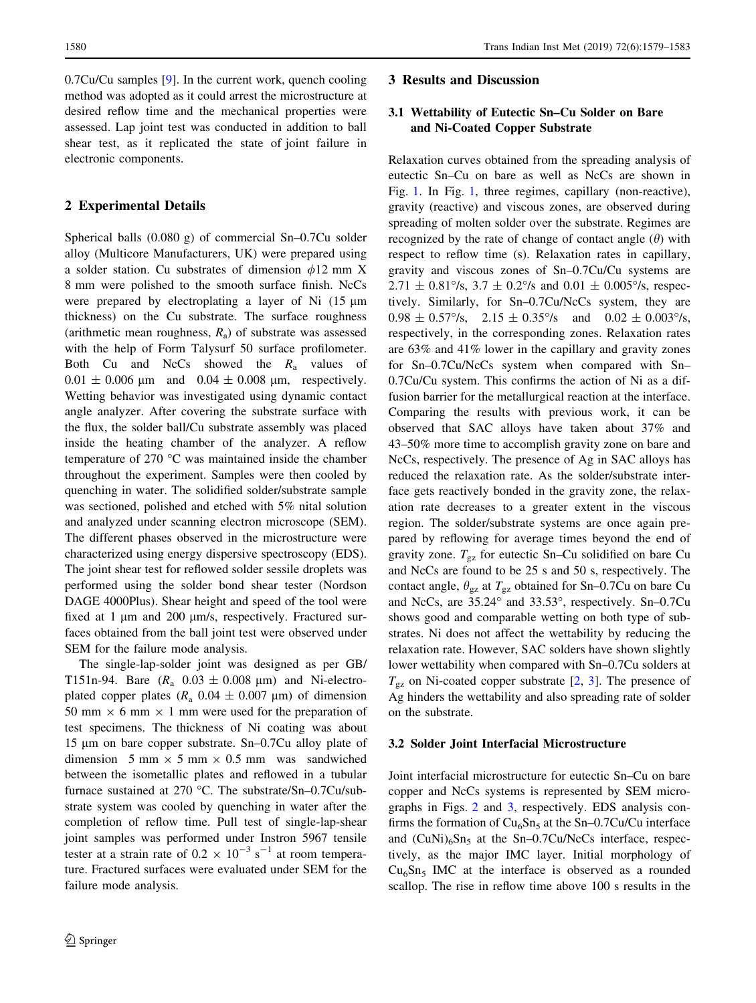0.7Cu/Cu samples [[9\]](#page-4-0). In the current work, quench cooling method was adopted as it could arrest the microstructure at desired reflow time and the mechanical properties were assessed. Lap joint test was conducted in addition to ball shear test, as it replicated the state of joint failure in electronic components.

## 2 Experimental Details

Spherical balls (0.080 g) of commercial Sn–0.7Cu solder alloy (Multicore Manufacturers, UK) were prepared using a solder station. Cu substrates of dimension  $\phi$ 12 mm X 8 mm were polished to the smooth surface finish. NcCs were prepared by electroplating a layer of Ni  $(15 \mu m)$ thickness) on the Cu substrate. The surface roughness (arithmetic mean roughness,  $R_a$ ) of substrate was assessed with the help of Form Talysurf 50 surface profilometer. Both Cu and NcCs showed the  $R_a$  values of  $0.01 \pm 0.006$  µm and  $0.04 \pm 0.008$  µm, respectively. Wetting behavior was investigated using dynamic contact angle analyzer. After covering the substrate surface with the flux, the solder ball/Cu substrate assembly was placed inside the heating chamber of the analyzer. A reflow temperature of 270  $\degree$ C was maintained inside the chamber throughout the experiment. Samples were then cooled by quenching in water. The solidified solder/substrate sample was sectioned, polished and etched with 5% nital solution and analyzed under scanning electron microscope (SEM). The different phases observed in the microstructure were characterized using energy dispersive spectroscopy (EDS). The joint shear test for reflowed solder sessile droplets was performed using the solder bond shear tester (Nordson DAGE 4000Plus). Shear height and speed of the tool were fixed at 1  $\mu$ m and 200  $\mu$ m/s, respectively. Fractured surfaces obtained from the ball joint test were observed under SEM for the failure mode analysis.

The single-lap-solder joint was designed as per GB/ T151n-94. Bare  $(R_a \t 0.03 \pm 0.008 \text{ µm})$  and Ni-electroplated copper plates ( $R_a$  0.04  $\pm$  0.007 µm) of dimension 50 mm  $\times$  6 mm  $\times$  1 mm were used for the preparation of test specimens. The thickness of Ni coating was about 15 µm on bare copper substrate. Sn–0.7Cu alloy plate of dimension 5 mm  $\times$  5 mm  $\times$  0.5 mm was sandwiched between the isometallic plates and reflowed in a tubular furnace sustained at 270 °C. The substrate/Sn-0.7Cu/substrate system was cooled by quenching in water after the completion of reflow time. Pull test of single-lap-shear joint samples was performed under Instron 5967 tensile tester at a strain rate of  $0.2 \times 10^{-3}$  s<sup>-1</sup> at room temperature. Fractured surfaces were evaluated under SEM for the failure mode analysis.

### 3 Results and Discussion

# 3.1 Wettability of Eutectic Sn–Cu Solder on Bare and Ni-Coated Copper Substrate

Relaxation curves obtained from the spreading analysis of eutectic Sn–Cu on bare as well as NcCs are shown in Fig. [1](#page-2-0). In Fig. [1](#page-2-0), three regimes, capillary (non-reactive), gravity (reactive) and viscous zones, are observed during spreading of molten solder over the substrate. Regimes are recognized by the rate of change of contact angle  $(\theta)$  with respect to reflow time (s). Relaxation rates in capillary, gravity and viscous zones of Sn–0.7Cu/Cu systems are  $2.71 \pm 0.81\%$ ,  $3.7 \pm 0.2\%$  and  $0.01 \pm 0.005\%$ , respectively. Similarly, for Sn–0.7Cu/NcCs system, they are  $0.98 \pm 0.57^{\circ}/s$ ,  $2.15 \pm 0.35^{\circ}/s$  and  $0.02 \pm 0.003^{\circ}/s$ , respectively, in the corresponding zones. Relaxation rates are 63% and 41% lower in the capillary and gravity zones for Sn–0.7Cu/NcCs system when compared with Sn– 0.7Cu/Cu system. This confirms the action of Ni as a diffusion barrier for the metallurgical reaction at the interface. Comparing the results with previous work, it can be observed that SAC alloys have taken about 37% and 43–50% more time to accomplish gravity zone on bare and NcCs, respectively. The presence of Ag in SAC alloys has reduced the relaxation rate. As the solder/substrate interface gets reactively bonded in the gravity zone, the relaxation rate decreases to a greater extent in the viscous region. The solder/substrate systems are once again prepared by reflowing for average times beyond the end of gravity zone.  $T_{gz}$  for eutectic Sn–Cu solidified on bare Cu and NcCs are found to be 25 s and 50 s, respectively. The contact angle,  $\theta_{gz}$  at  $T_{gz}$  obtained for Sn–0.7Cu on bare Cu and NcCs, are 35.24° and 33.53°, respectively. Sn-0.7Cu shows good and comparable wetting on both type of substrates. Ni does not affect the wettability by reducing the relaxation rate. However, SAC solders have shown slightly lower wettability when compared with Sn–0.7Cu solders at  $T_{\rm gz}$  on Ni-coated copper substrate [\[2,](#page-4-0) [3\]](#page-4-0). The presence of Ag hinders the wettability and also spreading rate of solder on the substrate.

#### 3.2 Solder Joint Interfacial Microstructure

Joint interfacial microstructure for eutectic Sn–Cu on bare copper and NcCs systems is represented by SEM micrographs in Figs. [2](#page-2-0) and [3,](#page-3-0) respectively. EDS analysis confirms the formation of  $Cu<sub>6</sub>Sn<sub>5</sub>$  at the Sn–0.7Cu/Cu interface and  $(CuNi)_{6}Sn_{5}$  at the Sn–0.7Cu/NcCs interface, respectively, as the major IMC layer. Initial morphology of  $Cu<sub>6</sub>Sn<sub>5</sub>$  IMC at the interface is observed as a rounded scallop. The rise in reflow time above 100 s results in the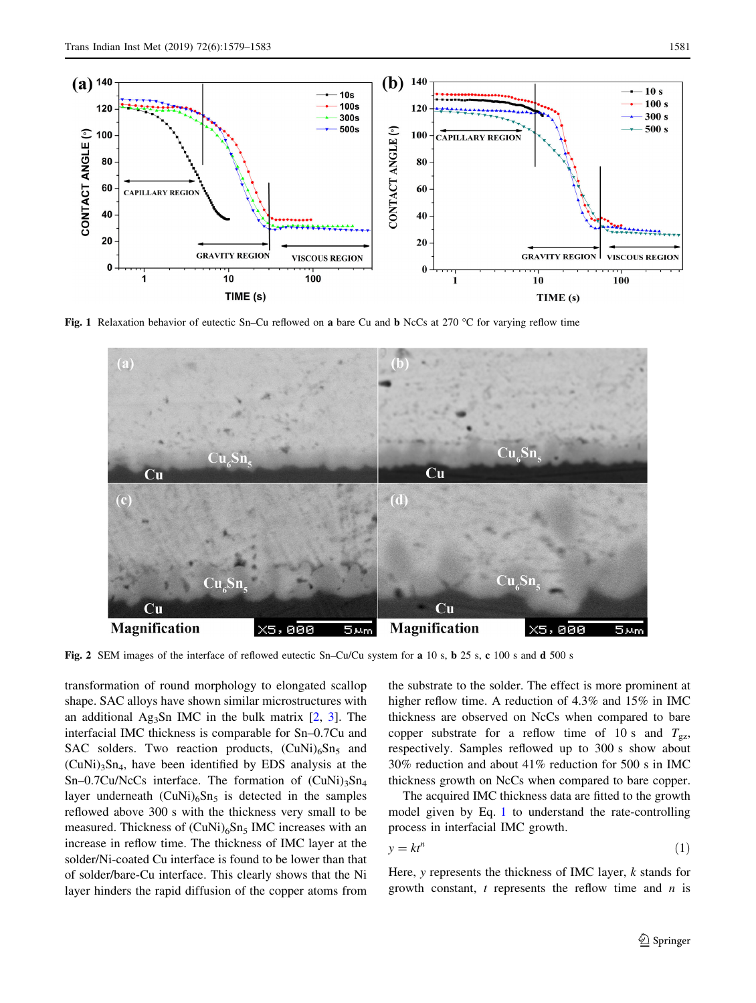<span id="page-2-0"></span>

Fig. 1 Relaxation behavior of eutectic Sn–Cu reflowed on a bare Cu and b NcCs at 270 °C for varying reflow time



Fig. 2 SEM images of the interface of reflowed eutectic Sn–Cu/Cu system for a 10 s, b 25 s, c 100 s and d 500 s

transformation of round morphology to elongated scallop shape. SAC alloys have shown similar microstructures with an additional Ag<sub>3</sub>Sn IMC in the bulk matrix  $[2, 3]$  $[2, 3]$  $[2, 3]$  $[2, 3]$ . The interfacial IMC thickness is comparable for Sn–0.7Cu and SAC solders. Two reaction products,  $(CuNi)_{6}Sn_{5}$  and  $(CuNi)_{3}Sn_{4}$ , have been identified by EDS analysis at the Sn–0.7Cu/NcCs interface. The formation of  $(CuNi)_{3}Sn_{4}$ layer underneath  $(CuNi)<sub>6</sub>Sn<sub>5</sub>$  is detected in the samples reflowed above 300 s with the thickness very small to be measured. Thickness of  $(CuNi)_{6}Sn_{5}$  IMC increases with an increase in reflow time. The thickness of IMC layer at the solder/Ni-coated Cu interface is found to be lower than that of solder/bare-Cu interface. This clearly shows that the Ni layer hinders the rapid diffusion of the copper atoms from the substrate to the solder. The effect is more prominent at higher reflow time. A reduction of 4.3% and 15% in IMC thickness are observed on NcCs when compared to bare copper substrate for a reflow time of 10 s and  $T_{gz}$ , respectively. Samples reflowed up to 300 s show about 30% reduction and about 41% reduction for 500 s in IMC thickness growth on NcCs when compared to bare copper.

The acquired IMC thickness data are fitted to the growth model given by Eq. 1 to understand the rate-controlling process in interfacial IMC growth.

$$
y = kt^n \tag{1}
$$

Here,  $y$  represents the thickness of IMC layer,  $k$  stands for growth constant,  $t$  represents the reflow time and  $n$  is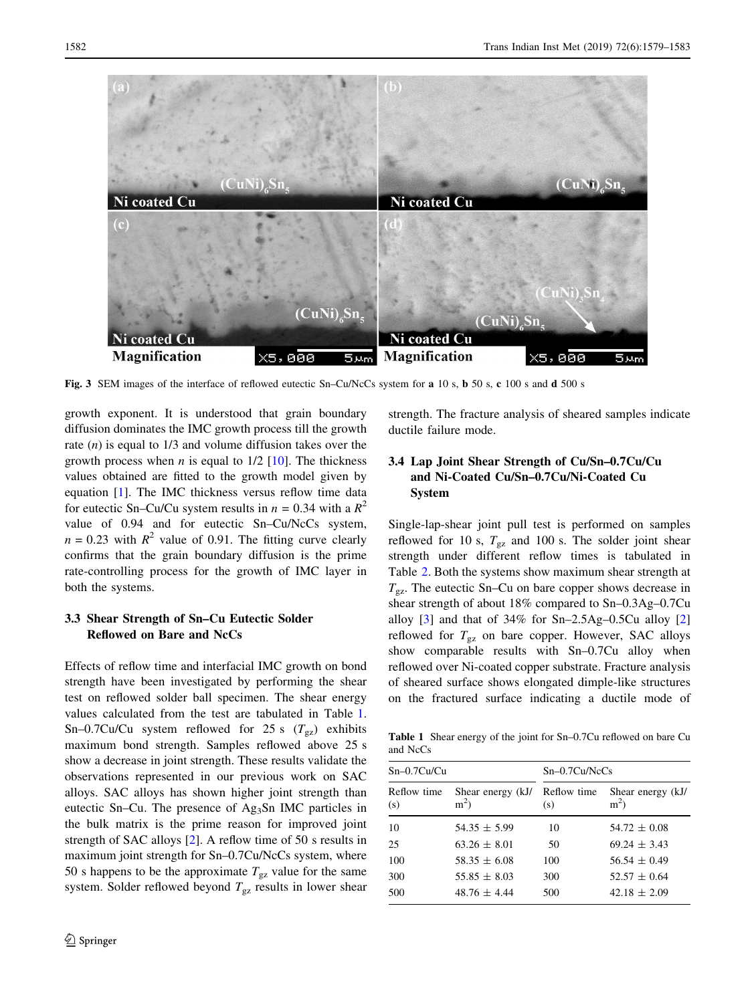<span id="page-3-0"></span>

Fig. 3 SEM images of the interface of reflowed eutectic Sn–Cu/NcCs system for a 10 s, b 50 s, c 100 s and d 500 s

growth exponent. It is understood that grain boundary diffusion dominates the IMC growth process till the growth rate  $(n)$  is equal to  $1/3$  and volume diffusion takes over the growth process when *n* is equal to  $1/2$  [\[10](#page-4-0)]. The thickness values obtained are fitted to the growth model given by equation [[1\]](#page-4-0). The IMC thickness versus reflow time data for eutectic Sn–Cu/Cu system results in  $n = 0.34$  with a  $R^2$ value of 0.94 and for eutectic Sn–Cu/NcCs system,  $n = 0.23$  with  $R^2$  value of 0.91. The fitting curve clearly confirms that the grain boundary diffusion is the prime rate-controlling process for the growth of IMC layer in both the systems.

# 3.3 Shear Strength of Sn–Cu Eutectic Solder Reflowed on Bare and NcCs

Effects of reflow time and interfacial IMC growth on bond strength have been investigated by performing the shear test on reflowed solder ball specimen. The shear energy values calculated from the test are tabulated in Table 1. Sn–0.7Cu/Cu system reflowed for 25 s  $(T_{gz})$  exhibits maximum bond strength. Samples reflowed above 25 s show a decrease in joint strength. These results validate the observations represented in our previous work on SAC alloys. SAC alloys has shown higher joint strength than eutectic Sn–Cu. The presence of Ag3Sn IMC particles in the bulk matrix is the prime reason for improved joint strength of SAC alloys [\[2](#page-4-0)]. A reflow time of 50 s results in maximum joint strength for Sn–0.7Cu/NcCs system, where 50 s happens to be the approximate  $T_{\rm gz}$  value for the same system. Solder reflowed beyond  $T_{gz}$  results in lower shear strength. The fracture analysis of sheared samples indicate ductile failure mode.

# 3.4 Lap Joint Shear Strength of Cu/Sn–0.7Cu/Cu and Ni-Coated Cu/Sn–0.7Cu/Ni-Coated Cu System

Single-lap-shear joint pull test is performed on samples reflowed for 10 s,  $T_{gz}$  and 100 s. The solder joint shear strength under different reflow times is tabulated in Table [2](#page-4-0). Both the systems show maximum shear strength at  $T_{\rm{gz}}$ . The eutectic Sn–Cu on bare copper shows decrease in shear strength of about 18% compared to Sn–0.3Ag–0.7Cu alloy [[3\]](#page-4-0) and that of 34% for Sn–2.5Ag–0.5Cu alloy [[2\]](#page-4-0) reflowed for  $T_{\text{gz}}$  on bare copper. However, SAC alloys show comparable results with Sn–0.7Cu alloy when reflowed over Ni-coated copper substrate. Fracture analysis of sheared surface shows elongated dimple-like structures on the fractured surface indicating a ductile mode of

Table 1 Shear energy of the joint for Sn–0.7Cu reflowed on bare Cu and NcCs

| $Sn-0.7Cu/Cu$      |                             | $Sn-0.7Cu/NcCs$    |                                     |
|--------------------|-----------------------------|--------------------|-------------------------------------|
| Reflow time<br>(s) | Shear energy (kJ/<br>$m2$ ) | Reflow time<br>(s) | Shear energy (kJ/<br>m <sup>2</sup> |
| 10                 | $54.35 \pm 5.99$            | 10                 | $54.72 \pm 0.08$                    |
| 25                 | $63.26 \pm 8.01$            | 50                 | $69.24 \pm 3.43$                    |
| 100                | $58.35 \pm 6.08$            | 100                | $56.54 \pm 0.49$                    |
| 300                | $55.85 \pm 8.03$            | 300                | $52.57 \pm 0.64$                    |
| 500                | $48.76 \pm 4.44$            | 500                | $42.18 \pm 2.09$                    |
|                    |                             |                    |                                     |